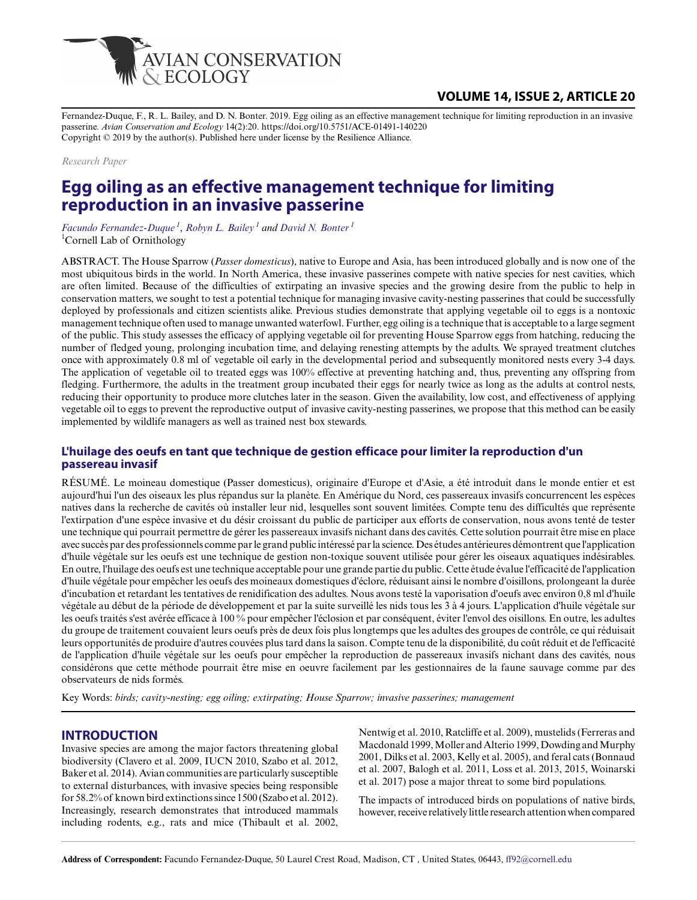

## **VOLUME 14, ISSUE 2, ARTICLE 20**

Fernandez-Duque, F., R. L. Bailey, and D. N. Bonter. 2019. Egg oiling as an effective management technique for limiting reproduction in an invasive passerine. *Avian Conservation and Ecology* 14(2):20. https://doi.org/10.5751/ACE-01491-140220 Copyright © 2019 by the author(s). Published here under license by the Resilience Alliance.

*Research Paper*

# **Egg oiling as an effective management technique for limiting reproduction in an invasive passerine**

*[Facundo Fernandez-Duque](mailto:ff92@cornell.edu)<sup>1</sup>* , *[Robyn L. Bailey](mailto:rb644@cornell.edu)<sup>1</sup> and [David N. Bonter](mailto:dnb23@cornell.edu)<sup>1</sup>* <sup>1</sup>Cornell Lab of Ornithology

ABSTRACT. The House Sparrow (*Passer domesticus*), native to Europe and Asia, has been introduced globally and is now one of the most ubiquitous birds in the world. In North America, these invasive passerines compete with native species for nest cavities, which are often limited. Because of the difficulties of extirpating an invasive species and the growing desire from the public to help in conservation matters, we sought to test a potential technique for managing invasive cavity-nesting passerines that could be successfully deployed by professionals and citizen scientists alike. Previous studies demonstrate that applying vegetable oil to eggs is a nontoxic management technique often used to manage unwanted waterfowl. Further, egg oiling is a technique that is acceptable to a large segment of the public. This study assesses the efficacy of applying vegetable oil for preventing House Sparrow eggs from hatching, reducing the number of fledged young, prolonging incubation time, and delaying renesting attempts by the adults. We sprayed treatment clutches once with approximately 0.8 ml of vegetable oil early in the developmental period and subsequently monitored nests every 3-4 days. The application of vegetable oil to treated eggs was 100% effective at preventing hatching and, thus, preventing any offspring from fledging. Furthermore, the adults in the treatment group incubated their eggs for nearly twice as long as the adults at control nests, reducing their opportunity to produce more clutches later in the season. Given the availability, low cost, and effectiveness of applying vegetable oil to eggs to prevent the reproductive output of invasive cavity-nesting passerines, we propose that this method can be easily implemented by wildlife managers as well as trained nest box stewards.

### **L'huilage des oeufs en tant que technique de gestion efficace pour limiter la reproduction d'un passereau invasif**

RÉSUMÉ. Le moineau domestique (Passer domesticus), originaire d'Europe et d'Asie, a été introduit dans le monde entier et est aujourd'hui l'un des oiseaux les plus répandus sur la planète. En Amérique du Nord, ces passereaux invasifs concurrencent les espèces natives dans la recherche de cavités où installer leur nid, lesquelles sont souvent limitées. Compte tenu des difficultés que représente l'extirpation d'une espèce invasive et du désir croissant du public de participer aux efforts de conservation, nous avons tenté de tester une technique qui pourrait permettre de gérer les passereaux invasifs nichant dans des cavités. Cette solution pourrait être mise en place avec succès par des professionnels comme par le grand public intéressé par la science. Des études antérieures démontrent que l'application d'huile végétale sur les oeufs est une technique de gestion non-toxique souvent utilisée pour gérer les oiseaux aquatiques indésirables. En outre, l'huilage des oeufs est une technique acceptable pour une grande partie du public. Cette étude évalue l'efficacité de l'application d'huile végétale pour empêcher les oeufs des moineaux domestiques d'éclore, réduisant ainsi le nombre d'oisillons, prolongeant la durée d'incubation et retardant les tentatives de renidification des adultes. Nous avons testé la vaporisation d'oeufs avec environ 0,8 ml d'huile végétale au début de la période de développement et par la suite surveillé les nids tous les 3 à 4 jours. L'application d'huile végétale sur les oeufs traités s'est avérée efficace à 100 % pour empêcher l'éclosion et par conséquent, éviter l'envol des oisillons. En outre, les adultes du groupe de traitement couvaient leurs oeufs près de deux fois plus longtemps que les adultes des groupes de contrôle, ce qui réduisait leurs opportunités de produire d'autres couvées plus tard dans la saison. Compte tenu de la disponibilité, du coût réduit et de l'efficacité de l'application d'huile végétale sur les oeufs pour empêcher la reproduction de passereaux invasifs nichant dans des cavités, nous considérons que cette méthode pourrait être mise en oeuvre facilement par les gestionnaires de la faune sauvage comme par des observateurs de nids formés.

Key Words: *birds; cavity-nesting; egg oiling; extirpating; House Sparrow; invasive passerines; management*

## **INTRODUCTION**

Invasive species are among the major factors threatening global biodiversity (Clavero et al. 2009, IUCN 2010, Szabo et al. 2012, Baker et al. 2014). Avian communities are particularly susceptible to external disturbances, with invasive species being responsible for 58.2% of known bird extinctions since 1500 (Szabo et al. 2012). Increasingly, research demonstrates that introduced mammals including rodents, e.g., rats and mice (Thibault et al. 2002,

Nentwig et al. 2010, Ratcliffe et al. 2009), mustelids (Ferreras and Macdonald 1999, Moller and Alterio 1999, Dowding and Murphy 2001, Dilks et al. 2003, Kelly et al. 2005), and feral cats (Bonnaud et al. 2007, Balogh et al. 2011, Loss et al. 2013, 2015, Woinarski et al. 2017) pose a major threat to some bird populations.

The impacts of introduced birds on populations of native birds, however, receive relatively little research attention when compared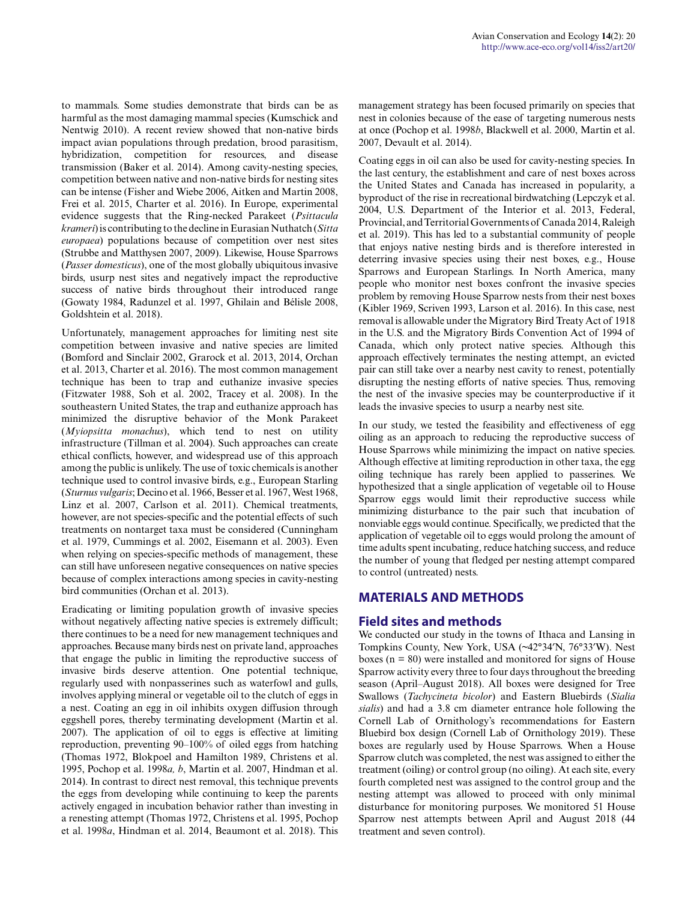to mammals. Some studies demonstrate that birds can be as harmful as the most damaging mammal species (Kumschick and Nentwig 2010). A recent review showed that non-native birds impact avian populations through predation, brood parasitism, hybridization, competition for resources, and disease transmission (Baker et al. 2014). Among cavity-nesting species, competition between native and non-native birds for nesting sites can be intense (Fisher and Wiebe 2006, Aitken and Martin 2008, Frei et al. 2015, Charter et al. 2016). In Europe, experimental evidence suggests that the Ring-necked Parakeet (*Psittacula krameri*) is contributing to the decline in Eurasian Nuthatch (*Sitta europaea*) populations because of competition over nest sites (Strubbe and Matthysen 2007, 2009). Likewise, House Sparrows (*Passer domesticus*), one of the most globally ubiquitous invasive birds, usurp nest sites and negatively impact the reproductive success of native birds throughout their introduced range (Gowaty 1984, Radunzel et al. 1997, Ghilain and Bélisle 2008, Goldshtein et al. 2018).

Unfortunately, management approaches for limiting nest site competition between invasive and native species are limited (Bomford and Sinclair 2002, Grarock et al. 2013, 2014, Orchan et al. 2013, Charter et al. 2016). The most common management technique has been to trap and euthanize invasive species (Fitzwater 1988, Soh et al. 2002, Tracey et al. 2008). In the southeastern United States, the trap and euthanize approach has minimized the disruptive behavior of the Monk Parakeet (*Myiopsitta monachus*), which tend to nest on utility infrastructure (Tillman et al. 2004). Such approaches can create ethical conflicts, however, and widespread use of this approach among the public is unlikely. The use of toxic chemicals is another technique used to control invasive birds, e.g., European Starling (*Sturnus vulgaris*; Decino et al. 1966, Besser et al. 1967, West 1968, Linz et al. 2007, Carlson et al. 2011). Chemical treatments, however, are not species-specific and the potential effects of such treatments on nontarget taxa must be considered (Cunningham et al. 1979, Cummings et al. 2002, Eisemann et al. 2003). Even when relying on species-specific methods of management, these can still have unforeseen negative consequences on native species because of complex interactions among species in cavity-nesting bird communities (Orchan et al. 2013).

Eradicating or limiting population growth of invasive species without negatively affecting native species is extremely difficult; there continues to be a need for new management techniques and approaches. Because many birds nest on private land, approaches that engage the public in limiting the reproductive success of invasive birds deserve attention. One potential technique, regularly used with nonpasserines such as waterfowl and gulls, involves applying mineral or vegetable oil to the clutch of eggs in a nest. Coating an egg in oil inhibits oxygen diffusion through eggshell pores, thereby terminating development (Martin et al. 2007). The application of oil to eggs is effective at limiting reproduction, preventing 90–100% of oiled eggs from hatching (Thomas 1972, Blokpoel and Hamilton 1989, Christens et al. 1995, Pochop et al. 1998*a, b*, Martin et al. 2007, Hindman et al. 2014). In contrast to direct nest removal, this technique prevents the eggs from developing while continuing to keep the parents actively engaged in incubation behavior rather than investing in a renesting attempt (Thomas 1972, Christens et al. 1995, Pochop et al. 1998*a*, Hindman et al. 2014, Beaumont et al. 2018). This

management strategy has been focused primarily on species that nest in colonies because of the ease of targeting numerous nests at once (Pochop et al. 1998*b*, Blackwell et al. 2000, Martin et al. 2007, Devault et al. 2014).

Coating eggs in oil can also be used for cavity-nesting species. In the last century, the establishment and care of nest boxes across the United States and Canada has increased in popularity, a byproduct of the rise in recreational birdwatching (Lepczyk et al. 2004, U.S. Department of the Interior et al. 2013, Federal, Provincial, and Territorial Governments of Canada 2014, Raleigh et al. 2019). This has led to a substantial community of people that enjoys native nesting birds and is therefore interested in deterring invasive species using their nest boxes, e.g., House Sparrows and European Starlings. In North America, many people who monitor nest boxes confront the invasive species problem by removing House Sparrow nests from their nest boxes (Kibler 1969, Scriven 1993, Larson et al. 2016). In this case, nest removal is allowable under the Migratory Bird Treaty Act of 1918 in the U.S. and the Migratory Birds Convention Act of 1994 of Canada, which only protect native species. Although this approach effectively terminates the nesting attempt, an evicted pair can still take over a nearby nest cavity to renest, potentially disrupting the nesting efforts of native species. Thus, removing the nest of the invasive species may be counterproductive if it leads the invasive species to usurp a nearby nest site.

In our study, we tested the feasibility and effectiveness of egg oiling as an approach to reducing the reproductive success of House Sparrows while minimizing the impact on native species. Although effective at limiting reproduction in other taxa, the egg oiling technique has rarely been applied to passerines. We hypothesized that a single application of vegetable oil to House Sparrow eggs would limit their reproductive success while minimizing disturbance to the pair such that incubation of nonviable eggs would continue. Specifically, we predicted that the application of vegetable oil to eggs would prolong the amount of time adults spent incubating, reduce hatching success, and reduce the number of young that fledged per nesting attempt compared to control (untreated) nests.

#### **MATERIALS AND METHODS**

## **Field sites and methods**

We conducted our study in the towns of Ithaca and Lansing in Tompkins County, New York, USA (~42°34′N, 76°33′W). Nest boxes ( $n = 80$ ) were installed and monitored for signs of House Sparrow activity every three to four days throughout the breeding season (April–August 2018). All boxes were designed for Tree Swallows (*Tachycineta bicolor*) and Eastern Bluebirds (*Sialia sialis*) and had a 3.8 cm diameter entrance hole following the Cornell Lab of Ornithology's recommendations for Eastern Bluebird box design (Cornell Lab of Ornithology 2019). These boxes are regularly used by House Sparrows. When a House Sparrow clutch was completed, the nest was assigned to either the treatment (oiling) or control group (no oiling). At each site, every fourth completed nest was assigned to the control group and the nesting attempt was allowed to proceed with only minimal disturbance for monitoring purposes. We monitored 51 House Sparrow nest attempts between April and August 2018 (44 treatment and seven control).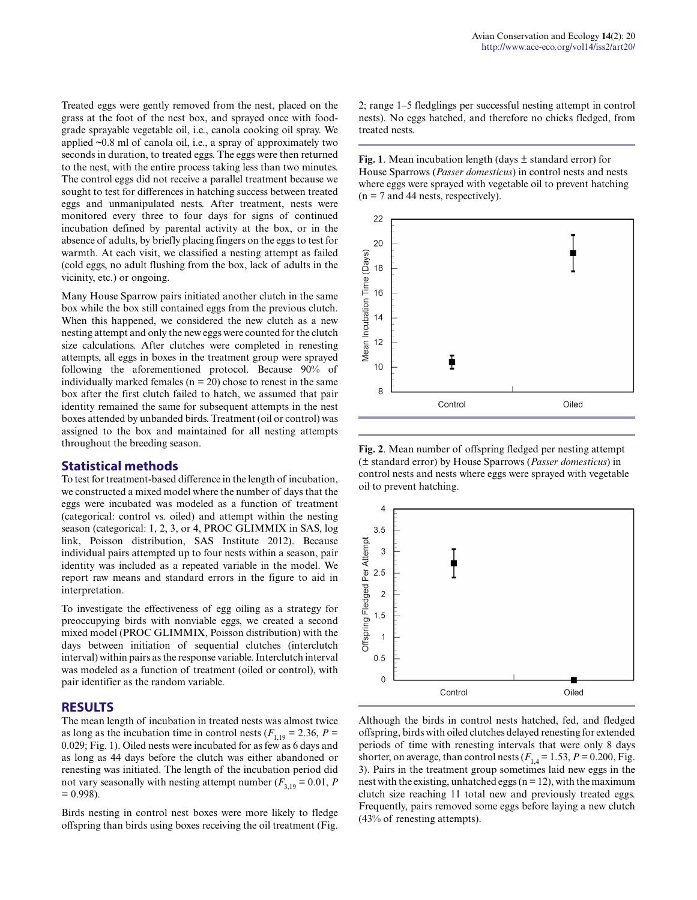Treated eggs were gently removed from the nest, placed on the grass at the foot of the nest box, and sprayed once with foodgrade sprayable vegetable oil, i.e., canola cooking oil spray. We applied ~0.8 ml of canola oil, i.e., a spray of approximately two seconds in duration, to treated eggs. The eggs were then returned to the nest, with the entire process taking less than two minutes. The control eggs did not receive a parallel treatment because we sought to test for differences in hatching success between treated eggs and unmanipulated nests. After treatment, nests were monitored every three to four days for signs of continued incubation defined by parental activity at the box, or in the absence of adults, by briefly placing fingers on the eggs to test for warmth. At each visit, we classified a nesting attempt as failed (cold eggs, no adult flushing from the box, lack of adults in the vicinity, etc.) or ongoing.

Many House Sparrow pairs initiated another clutch in the same box while the box still contained eggs from the previous clutch. When this happened, we considered the new clutch as a new nesting attempt and only the new eggs were counted for the clutch size calculations. After clutches were completed in renesting attempts, all eggs in boxes in the treatment group were sprayed following the aforementioned protocol. Because 90% of individually marked females ( $n = 20$ ) chose to renest in the same box after the first clutch failed to hatch, we assumed that pair identity remained the same for subsequent attempts in the nest boxes attended by unbanded birds. Treatment (oil or control) was assigned to the box and maintained for all nesting attempts throughout the breeding season.

#### **Statistical methods**

To test for treatment-based difference in the length of incubation, we constructed a mixed model where the number of days that the eggs were incubated was modeled as a function of treatment (categorical: control vs. oiled) and attempt within the nesting season (categorical: 1, 2, 3, or 4, PROC GLIMMIX in SAS, log link, Poisson distribution, SAS Institute 2012). Because individual pairs attempted up to four nests within a season, pair identity was included as a repeated variable in the model. We report raw means and standard errors in the figure to aid in interpretation.

To investigate the effectiveness of egg oiling as a strategy for preoccupying birds with nonviable eggs, we created a second mixed model (PROC GLIMMIX, Poisson distribution) with the days between initiation of sequential clutches (interclutch interval) within pairs as the response variable. Interclutch interval was modeled as a function of treatment (oiled or control), with pair identifier as the random variable.

#### **RESULTS**

The mean length of incubation in treated nests was almost twice as long as the incubation time in control nests ( $F_{1,19} = 2.36$ ,  $P =$ 0.029; Fig. 1). Oiled nests were incubated for as few as 6 days and as long as 44 days before the clutch was either abandoned or renesting was initiated. The length of the incubation period did not vary seasonally with nesting attempt number  $(F_{3,19} = 0.01, P)$  $= 0.998$ ).

Birds nesting in control nest boxes were more likely to fledge offspring than birds using boxes receiving the oil treatment (Fig. 2; range 1–5 fledglings per successful nesting attempt in control nests). No eggs hatched, and therefore no chicks fledged, from treated nests.

**Fig. 1**. Mean incubation length (days ± standard error) for House Sparrows (*Passer domesticus*) in control nests and nests where eggs were sprayed with vegetable oil to prevent hatching  $(n = 7$  and 44 nests, respectively).



**Fig. 2**. Mean number of offspring fledged per nesting attempt (± standard error) by House Sparrows (*Passer domesticus*) in control nests and nests where eggs were sprayed with vegetable oil to prevent hatching.



Although the birds in control nests hatched, fed, and fledged offspring, birds with oiled clutches delayed renesting for extended periods of time with renesting intervals that were only 8 days shorter, on average, than control nests  $(F_{1,4} = 1.53, P = 0.200,$  Fig. 3). Pairs in the treatment group sometimes laid new eggs in the nest with the existing, unhatched eggs ( $n = 12$ ), with the maximum clutch size reaching 11 total new and previously treated eggs. Frequently, pairs removed some eggs before laying a new clutch (43% of renesting attempts).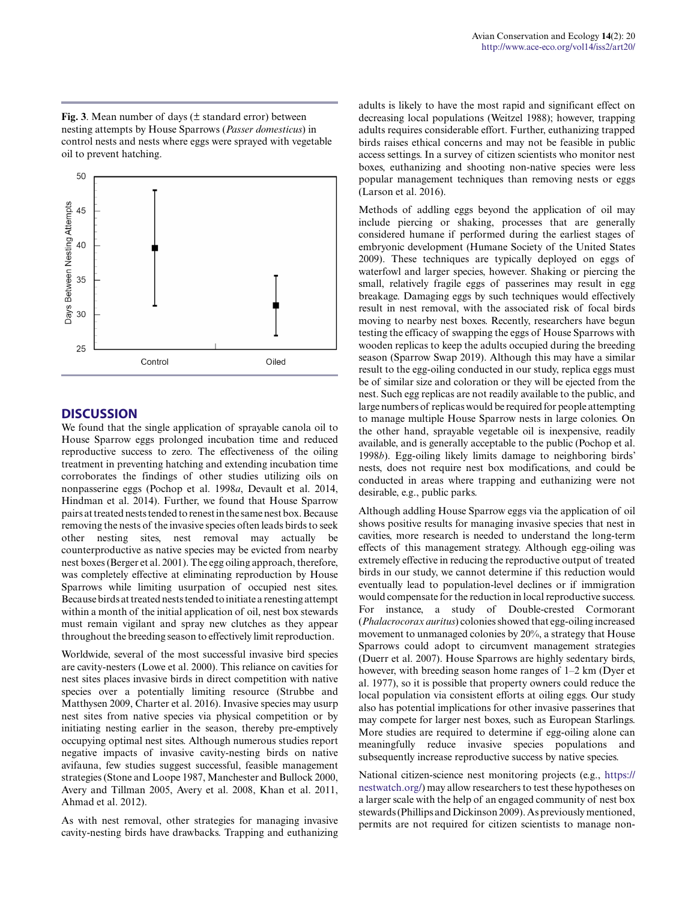**Fig. 3**. Mean number of days (± standard error) between nesting attempts by House Sparrows (*Passer domesticus*) in control nests and nests where eggs were sprayed with vegetable oil to prevent hatching.



## **DISCUSSION**

We found that the single application of sprayable canola oil to House Sparrow eggs prolonged incubation time and reduced reproductive success to zero. The effectiveness of the oiling treatment in preventing hatching and extending incubation time corroborates the findings of other studies utilizing oils on nonpasserine eggs (Pochop et al. 1998*a*, Devault et al. 2014, Hindman et al. 2014). Further, we found that House Sparrow pairs at treated nests tended to renest in the same nest box. Because removing the nests of the invasive species often leads birds to seek other nesting sites, nest removal may actually be counterproductive as native species may be evicted from nearby nest boxes (Berger et al. 2001). The egg oiling approach, therefore, was completely effective at eliminating reproduction by House Sparrows while limiting usurpation of occupied nest sites. Because birds at treated nests tended to initiate a renesting attempt within a month of the initial application of oil, nest box stewards must remain vigilant and spray new clutches as they appear throughout the breeding season to effectively limit reproduction.

Worldwide, several of the most successful invasive bird species are cavity-nesters (Lowe et al. 2000). This reliance on cavities for nest sites places invasive birds in direct competition with native species over a potentially limiting resource (Strubbe and Matthysen 2009, Charter et al. 2016). Invasive species may usurp nest sites from native species via physical competition or by initiating nesting earlier in the season, thereby pre-emptively occupying optimal nest sites. Although numerous studies report negative impacts of invasive cavity-nesting birds on native avifauna, few studies suggest successful, feasible management strategies (Stone and Loope 1987, Manchester and Bullock 2000, Avery and Tillman 2005, Avery et al. 2008, Khan et al. 2011, Ahmad et al. 2012).

As with nest removal, other strategies for managing invasive cavity-nesting birds have drawbacks. Trapping and euthanizing adults is likely to have the most rapid and significant effect on decreasing local populations (Weitzel 1988); however, trapping adults requires considerable effort. Further, euthanizing trapped birds raises ethical concerns and may not be feasible in public access settings. In a survey of citizen scientists who monitor nest boxes, euthanizing and shooting non-native species were less popular management techniques than removing nests or eggs (Larson et al. 2016).

Methods of addling eggs beyond the application of oil may include piercing or shaking, processes that are generally considered humane if performed during the earliest stages of embryonic development (Humane Society of the United States 2009). These techniques are typically deployed on eggs of waterfowl and larger species, however. Shaking or piercing the small, relatively fragile eggs of passerines may result in egg breakage. Damaging eggs by such techniques would effectively result in nest removal, with the associated risk of focal birds moving to nearby nest boxes. Recently, researchers have begun testing the efficacy of swapping the eggs of House Sparrows with wooden replicas to keep the adults occupied during the breeding season (Sparrow Swap 2019). Although this may have a similar result to the egg-oiling conducted in our study, replica eggs must be of similar size and coloration or they will be ejected from the nest. Such egg replicas are not readily available to the public, and large numbers of replicas would be required for people attempting to manage multiple House Sparrow nests in large colonies. On the other hand, sprayable vegetable oil is inexpensive, readily available, and is generally acceptable to the public (Pochop et al. 1998*b*). Egg-oiling likely limits damage to neighboring birds' nests, does not require nest box modifications, and could be conducted in areas where trapping and euthanizing were not desirable, e.g., public parks.

Although addling House Sparrow eggs via the application of oil shows positive results for managing invasive species that nest in cavities, more research is needed to understand the long-term effects of this management strategy. Although egg-oiling was extremely effective in reducing the reproductive output of treated birds in our study, we cannot determine if this reduction would eventually lead to population-level declines or if immigration would compensate for the reduction in local reproductive success. For instance, a study of Double-crested Cormorant (*Phalacrocorax auritus*) colonies showed that egg-oiling increased movement to unmanaged colonies by 20%, a strategy that House Sparrows could adopt to circumvent management strategies (Duerr et al. 2007). House Sparrows are highly sedentary birds, however, with breeding season home ranges of 1–2 km (Dyer et al. 1977), so it is possible that property owners could reduce the local population via consistent efforts at oiling eggs. Our study also has potential implications for other invasive passerines that may compete for larger nest boxes, such as European Starlings. More studies are required to determine if egg-oiling alone can meaningfully reduce invasive species populations and subsequently increase reproductive success by native species.

National citizen-science nest monitoring projects (e.g., [https://](https://nestwatch.org/) [nestwatch.org/](https://nestwatch.org/)) may allow researchers to test these hypotheses on a larger scale with the help of an engaged community of nest box stewards (Phillips and Dickinson 2009). As previously mentioned, permits are not required for citizen scientists to manage non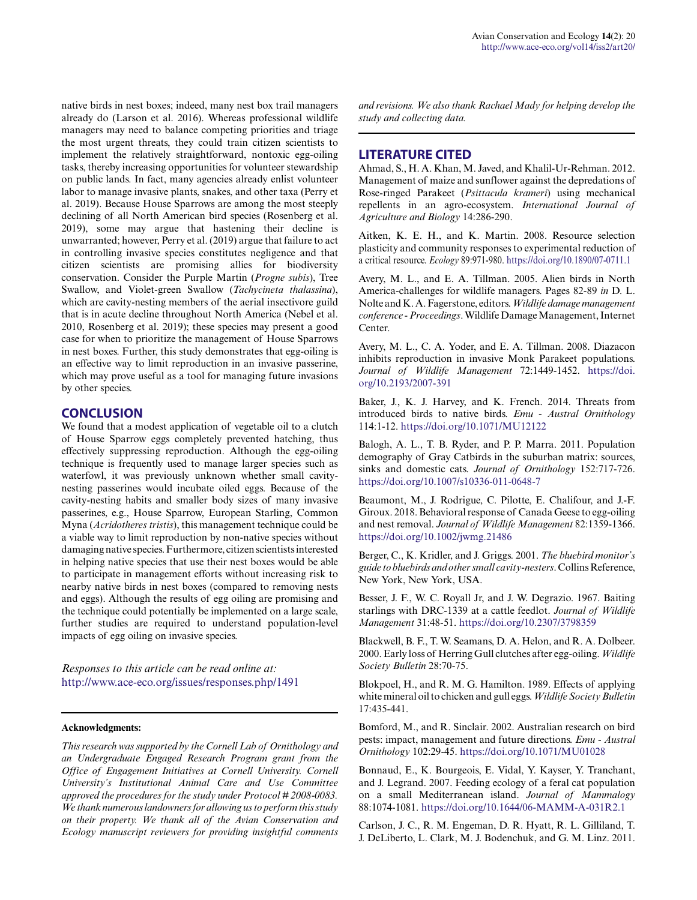native birds in nest boxes; indeed, many nest box trail managers already do (Larson et al. 2016). Whereas professional wildlife managers may need to balance competing priorities and triage the most urgent threats, they could train citizen scientists to implement the relatively straightforward, nontoxic egg-oiling tasks, thereby increasing opportunities for volunteer stewardship on public lands. In fact, many agencies already enlist volunteer labor to manage invasive plants, snakes, and other taxa (Perry et al. 2019). Because House Sparrows are among the most steeply declining of all North American bird species (Rosenberg et al. 2019), some may argue that hastening their decline is unwarranted; however, Perry et al. (2019) argue that failure to act in controlling invasive species constitutes negligence and that citizen scientists are promising allies for biodiversity conservation. Consider the Purple Martin (*Progne subis*), Tree Swallow, and Violet-green Swallow (*Tachycineta thalassina*), which are cavity-nesting members of the aerial insectivore guild that is in acute decline throughout North America (Nebel et al. 2010, Rosenberg et al. 2019); these species may present a good case for when to prioritize the management of House Sparrows in nest boxes. Further, this study demonstrates that egg-oiling is an effective way to limit reproduction in an invasive passerine, which may prove useful as a tool for managing future invasions by other species.

#### **CONCLUSION**

We found that a modest application of vegetable oil to a clutch of House Sparrow eggs completely prevented hatching, thus effectively suppressing reproduction. Although the egg-oiling technique is frequently used to manage larger species such as waterfowl, it was previously unknown whether small cavitynesting passerines would incubate oiled eggs. Because of the cavity-nesting habits and smaller body sizes of many invasive passerines, e.g., House Sparrow, European Starling, Common Myna (*Acridotheres tristis*), this management technique could be a viable way to limit reproduction by non-native species without damaging native species. Furthermore, citizen scientists interested in helping native species that use their nest boxes would be able to participate in management efforts without increasing risk to nearby native birds in nest boxes (compared to removing nests and eggs). Although the results of egg oiling are promising and the technique could potentially be implemented on a large scale, further studies are required to understand population-level impacts of egg oiling on invasive species.

*Responses to this article can be read online at:* <http://www.ace-eco.org/issues/responses.php/1491>

#### **Acknowledgments:**

*This research was supported by the Cornell Lab of Ornithology and an Undergraduate Engaged Research Program grant from the Office of Engagement Initiatives at Cornell University. Cornell University's Institutional Animal Care and Use Committee approved the procedures for the study under Protocol # 2008-0083. We thank numerous landowners for allowing us to perform this study on their property. We thank all of the Avian Conservation and Ecology manuscript reviewers for providing insightful comments*

*and revisions. We also thank Rachael Mady for helping develop the study and collecting data.*

#### **LITERATURE CITED**

Ahmad, S., H. A. Khan, M. Javed, and Khalil-Ur-Rehman. 2012. Management of maize and sunflower against the depredations of Rose-ringed Parakeet (*Psittacula krameri*) using mechanical repellents in an agro-ecosystem. *International Journal of Agriculture and Biology* 14:286-290.

Aitken, K. E. H., and K. Martin. 2008. Resource selection plasticity and community responses to experimental reduction of a critical resource. *Ecology* 89:971-980. <https://doi.org/10.1890/07-0711.1>

Avery, M. L., and E. A. Tillman. 2005. Alien birds in North America-challenges for wildlife managers. Pages 82-89 *in* D. L. Nolte and K. A. Fagerstone, editors. *Wildlife damage management conference - Proceedings*. Wildlife Damage Management, Internet Center.

Avery, M. L., C. A. Yoder, and E. A. Tillman. 2008. Diazacon inhibits reproduction in invasive Monk Parakeet populations. *Journal of Wildlife Management* 72:1449-1452. [https://doi.](https://doi.org/10.2193/2007-391) [org/10.2193/2007-391](https://doi.org/10.2193/2007-391) 

Baker, J., K. J. Harvey, and K. French. 2014. Threats from introduced birds to native birds. *Emu - Austral Ornithology* 114:1-12.<https://doi.org/10.1071/MU12122>

Balogh, A. L., T. B. Ryder, and P. P. Marra. 2011. Population demography of Gray Catbirds in the suburban matrix: sources, sinks and domestic cats. *Journal of Ornithology* 152:717-726. <https://doi.org/10.1007/s10336-011-0648-7>

Beaumont, M., J. Rodrigue, C. Pilotte, E. Chalifour, and J.-F. Giroux. 2018. Behavioral response of Canada Geese to egg-oiling and nest removal. *Journal of Wildlife Management* 82:1359-1366. <https://doi.org/10.1002/jwmg.21486>

Berger, C., K. Kridler, and J. Griggs. 2001. *The bluebird monitor's guide to bluebirds and other small cavity-nesters*. Collins Reference, New York, New York, USA.

Besser, J. F., W. C. Royall Jr, and J. W. Degrazio. 1967. Baiting starlings with DRC-1339 at a cattle feedlot. *Journal of Wildlife Management* 31:48-51.<https://doi.org/10.2307/3798359>

Blackwell, B. F., T. W. Seamans, D. A. Helon, and R. A. Dolbeer. 2000. Early loss of Herring Gull clutches after egg-oiling. *Wildlife Society Bulletin* 28:70-75.

Blokpoel, H., and R. M. G. Hamilton. 1989. Effects of applying white mineral oil to chicken and gull eggs. *Wildlife Society Bulletin* 17:435-441.

Bomford, M., and R. Sinclair. 2002. Australian research on bird pests: impact, management and future directions. *Emu - Austral Ornithology* 102:29-45.<https://doi.org/10.1071/MU01028>

Bonnaud, E., K. Bourgeois, E. Vidal, Y. Kayser, Y. Tranchant, and J. Legrand. 2007. Feeding ecology of a feral cat population on a small Mediterranean island. *Journal of Mammalogy* 88:1074-1081.<https://doi.org/10.1644/06-MAMM-A-031R2.1>

Carlson, J. C., R. M. Engeman, D. R. Hyatt, R. L. Gilliland, T. J. DeLiberto, L. Clark, M. J. Bodenchuk, and G. M. Linz. 2011.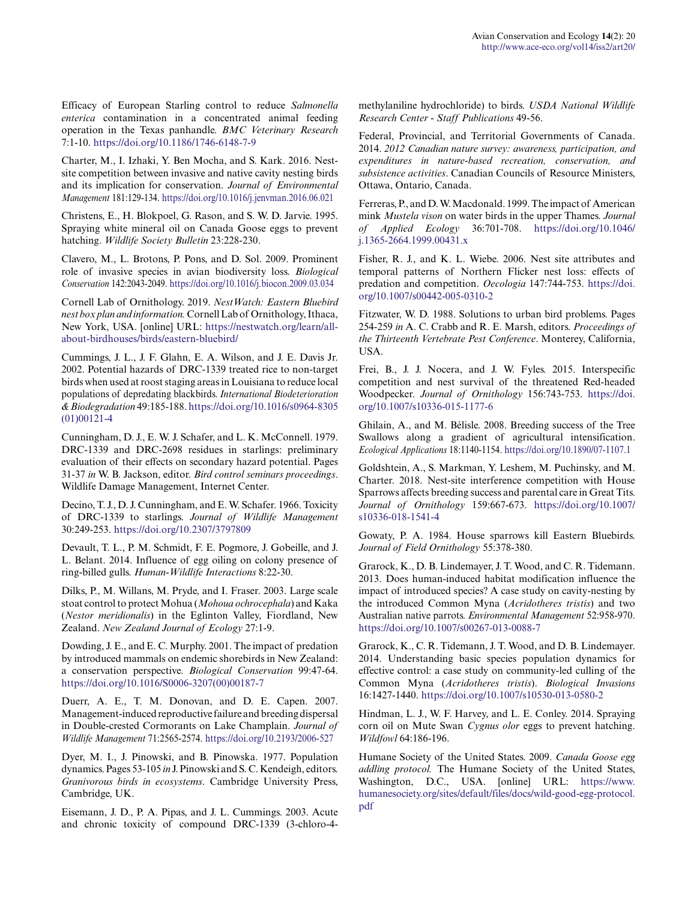Efficacy of European Starling control to reduce *Salmonella enterica* contamination in a concentrated animal feeding operation in the Texas panhandle. *BMC Veterinary Research* 7:1-10.<https://doi.org/10.1186/1746-6148-7-9>

Charter, M., I. Izhaki, Y. Ben Mocha, and S. Kark. 2016. Nestsite competition between invasive and native cavity nesting birds and its implication for conservation. *Journal of Environmental Management* 181:129-134.<https://doi.org/10.1016/j.jenvman.2016.06.021>

Christens, E., H. Blokpoel, G. Rason, and S. W. D. Jarvie. 1995. Spraying white mineral oil on Canada Goose eggs to prevent hatching. *Wildlife Society Bulletin* 23:228-230.

Clavero, M., L. Brotons, P. Pons, and D. Sol. 2009. Prominent role of invasive species in avian biodiversity loss. *Biological Conservation* 142:2043-2049.<https://doi.org/10.1016/j.biocon.2009.03.034>

Cornell Lab of Ornithology. 2019. *NestWatch: Eastern Bluebird nest box plan and information.* Cornell Lab of Ornithology, Ithaca, New York, USA. [online] URL: [https://nestwatch.org/learn/all](https://nestwatch.org/learn/all-about-birdhouses/birds/eastern-bluebird/)[about-birdhouses/birds/eastern-bluebird/](https://nestwatch.org/learn/all-about-birdhouses/birds/eastern-bluebird/)

Cummings, J. L., J. F. Glahn, E. A. Wilson, and J. E. Davis Jr. 2002. Potential hazards of DRC-1339 treated rice to non-target birds when used at roost staging areas in Louisiana to reduce local populations of depredating blackbirds. *International Biodeterioration & Biodegradation* 49:185-188. [https://doi.org/10.1016/s0964-8305](https://doi.org/10.1016/s0964-8305(01)00121-4) [\(01\)00121-4](https://doi.org/10.1016/s0964-8305(01)00121-4) 

Cunningham, D. J., E. W. J. Schafer, and L. K. McConnell. 1979. DRC-1339 and DRC-2698 residues in starlings: preliminary evaluation of their effects on secondary hazard potential. Pages 31-37 *in* W. B. Jackson, editor. *Bird control seminars proceedings*. Wildlife Damage Management, Internet Center.

Decino, T. J., D. J. Cunningham, and E. W. Schafer. 1966. Toxicity of DRC-1339 to starlings. *Journal of Wildlife Management* 30:249-253.<https://doi.org/10.2307/3797809>

Devault, T. L., P. M. Schmidt, F. E. Pogmore, J. Gobeille, and J. L. Belant. 2014. Influence of egg oiling on colony presence of ring-billed gulls. *Human-Wildlife Interactions* 8:22-30.

Dilks, P., M. Willans, M. Pryde, and I. Fraser. 2003. Large scale stoat control to protect Mohua (*Mohoua ochrocephala*) and Kaka (*Nestor meridionalis*) in the Eglinton Valley, Fiordland, New Zealand. *New Zealand Journal of Ecology* 27:1-9.

Dowding, J. E., and E. C. Murphy. 2001. The impact of predation by introduced mammals on endemic shorebirds in New Zealand: a conservation perspective. *Biological Conservation* 99:47-64. [https://doi.org/10.1016/S0006-3207\(00\)00187-7](https://doi.org/10.1016/S0006-3207(00)00187-7) 

Duerr, A. E., T. M. Donovan, and D. E. Capen. 2007. Management-induced reproductive failure and breeding dispersal in Double-crested Cormorants on Lake Champlain. *Journal of Wildlife Management* 71:2565-2574.<https://doi.org/10.2193/2006-527>

Dyer, M. I., J. Pinowski, and B. Pinowska. 1977. Population dynamics. Pages 53-105 *in* J. Pinowski and S. C. Kendeigh, editors. *Granivorous birds in ecosystems*. Cambridge University Press, Cambridge, UK.

Eisemann, J. D., P. A. Pipas, and J. L. Cummings. 2003. Acute and chronic toxicity of compound DRC-1339 (3-chloro-4methylaniline hydrochloride) to birds. *USDA National Wildlife Research Center - Staff Publications* 49-56.

Federal, Provincial, and Territorial Governments of Canada. 2014. *2012 Canadian nature survey: awareness, participation, and expenditures in nature-based recreation, conservation, and subsistence activities*. Canadian Councils of Resource Ministers, Ottawa, Ontario, Canada.

Ferreras, P., and D. W. Macdonald. 1999. The impact of American mink *Mustela vison* on water birds in the upper Thames. *Journal of Applied Ecology* 36:701-708. [https://doi.org/10.1046/](https://doi.org/10.1046/j.1365-2664.1999.00431.x) [j.1365-2664.1999.00431.x](https://doi.org/10.1046/j.1365-2664.1999.00431.x)

Fisher, R. J., and K. L. Wiebe. 2006. Nest site attributes and temporal patterns of Northern Flicker nest loss: effects of predation and competition. *Oecologia* 147:744-753. [https://doi.](https://doi.org/10.1007/s00442-005-0310-2) [org/10.1007/s00442-005-0310-2](https://doi.org/10.1007/s00442-005-0310-2)

Fitzwater, W. D. 1988. Solutions to urban bird problems. Pages 254-259 *in* A. C. Crabb and R. E. Marsh, editors. *Proceedings of the Thirteenth Vertebrate Pest Conference*. Monterey, California, USA.

Frei, B., J. J. Nocera, and J. W. Fyles. 2015. Interspecific competition and nest survival of the threatened Red-headed Woodpecker. *Journal of Ornithology* 156:743-753. [https://doi.](https://doi.org/10.1007/s10336-015-1177-6) [org/10.1007/s10336-015-1177-6](https://doi.org/10.1007/s10336-015-1177-6)

Ghilain, A., and M. Bélisle. 2008. Breeding success of the Tree Swallows along a gradient of agricultural intensification. *Ecological Applications* 18:1140-1154.<https://doi.org/10.1890/07-1107.1>

Goldshtein, A., S. Markman, Y. Leshem, M. Puchinsky, and M. Charter. 2018. Nest-site interference competition with House Sparrows affects breeding success and parental care in Great Tits. *Journal of Ornithology* 159:667-673. [https://doi.org/10.1007/](https://doi.org/10.1007/s10336-018-1541-4) [s10336-018-1541-4](https://doi.org/10.1007/s10336-018-1541-4) 

Gowaty, P. A. 1984. House sparrows kill Eastern Bluebirds. *Journal of Field Ornithology* 55:378-380.

Grarock, K., D. B. Lindemayer, J. T. Wood, and C. R. Tidemann. 2013. Does human-induced habitat modification influence the impact of introduced species? A case study on cavity-nesting by the introduced Common Myna (*Acridotheres tristis*) and two Australian native parrots. *Environmental Management* 52:958-970. <https://doi.org/10.1007/s00267-013-0088-7>

Grarock, K., C. R. Tidemann, J. T. Wood, and D. B. Lindemayer. 2014. Understanding basic species population dynamics for effective control: a case study on community-led culling of the Common Myna (*Acridotheres tristis*). *Biological Invasions* 16:1427-1440.<https://doi.org/10.1007/s10530-013-0580-2>

Hindman, L. J., W. F. Harvey, and L. E. Conley. 2014. Spraying corn oil on Mute Swan *Cygnus olor* eggs to prevent hatching. *Wildfowl* 64:186-196.

Humane Society of the United States. 2009. *Canada Goose egg addling protocol.* The Humane Society of the United States, Washington, D.C., USA. [online] URL: [https://www.](https://www.humanesociety.org/sites/default/files/docs/wild-good-egg-protocol.pdf) [humanesociety.org/sites/default/files/docs/wild-good-egg-protocol.](https://www.humanesociety.org/sites/default/files/docs/wild-good-egg-protocol.pdf) [pdf](https://www.humanesociety.org/sites/default/files/docs/wild-good-egg-protocol.pdf)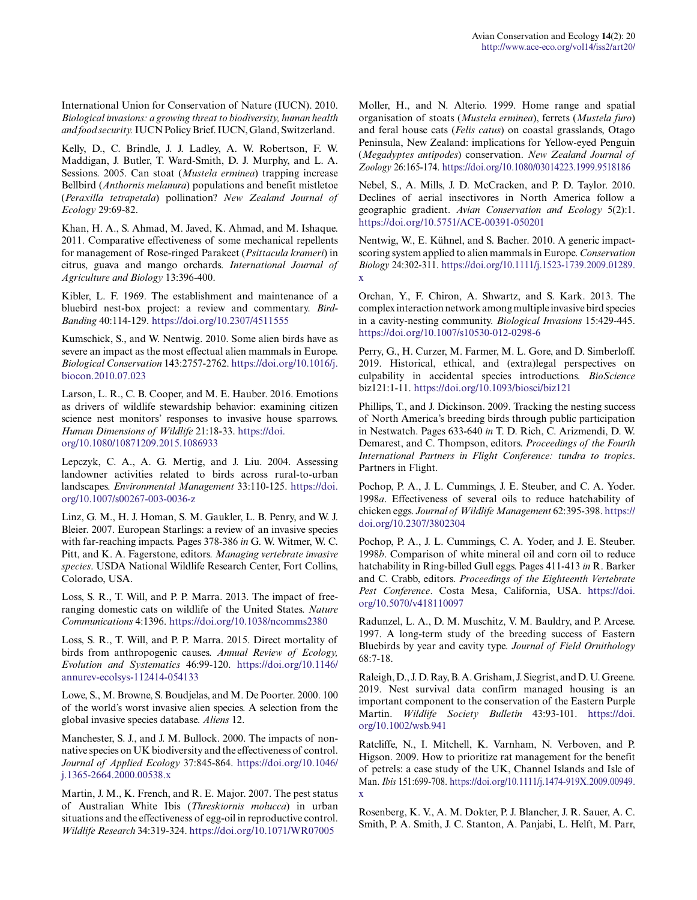International Union for Conservation of Nature (IUCN). 2010. *Biological invasions: a growing threat to biodiversity, human health and food security.* IUCN Policy Brief. IUCN, Gland, Switzerland.

Kelly, D., C. Brindle, J. J. Ladley, A. W. Robertson, F. W. Maddigan, J. Butler, T. Ward-Smith, D. J. Murphy, and L. A. Sessions. 2005. Can stoat (*Mustela erminea*) trapping increase Bellbird (*Anthornis melanura*) populations and benefit mistletoe (*Peraxilla tetrapetala*) pollination? *New Zealand Journal of Ecology* 29:69-82.

Khan, H. A., S. Ahmad, M. Javed, K. Ahmad, and M. Ishaque. 2011. Comparative effectiveness of some mechanical repellents for management of Rose-ringed Parakeet (*Psittacula krameri*) in citrus, guava and mango orchards. *International Journal of Agriculture and Biology* 13:396-400.

Kibler, L. F. 1969. The establishment and maintenance of a bluebird nest-box project: a review and commentary. *Bird-Banding* 40:114-129.<https://doi.org/10.2307/4511555>

Kumschick, S., and W. Nentwig. 2010. Some alien birds have as severe an impact as the most effectual alien mammals in Europe. *Biological Conservation* 143:2757-2762. [https://doi.org/10.1016/j.](https://doi.org/10.1016/j.biocon.2010.07.023) [biocon.2010.07.023](https://doi.org/10.1016/j.biocon.2010.07.023)

Larson, L. R., C. B. Cooper, and M. E. Hauber. 2016. Emotions as drivers of wildlife stewardship behavior: examining citizen science nest monitors' responses to invasive house sparrows. *Human Dimensions of Wildlife* 21:18-33. [https://doi.](https://doi.org/10.1080/10871209.2015.1086933) [org/10.1080/10871209.2015.1086933](https://doi.org/10.1080/10871209.2015.1086933) 

Lepczyk, C. A., A. G. Mertig, and J. Liu. 2004. Assessing landowner activities related to birds across rural-to-urban landscapes. *Environmental Management* 33:110-125. [https://doi.](https://doi.org/10.1007/s00267-003-0036-z) [org/10.1007/s00267-003-0036-z](https://doi.org/10.1007/s00267-003-0036-z) 

Linz, G. M., H. J. Homan, S. M. Gaukler, L. B. Penry, and W. J. Bleier. 2007. European Starlings: a review of an invasive species with far-reaching impacts. Pages 378-386 *in* G. W. Witmer, W. C. Pitt, and K. A. Fagerstone, editors. *Managing vertebrate invasive species*. USDA National Wildlife Research Center, Fort Collins, Colorado, USA.

Loss, S. R., T. Will, and P. P. Marra. 2013. The impact of freeranging domestic cats on wildlife of the United States. *Nature Communications* 4:1396. <https://doi.org/10.1038/ncomms2380>

Loss, S. R., T. Will, and P. P. Marra. 2015. Direct mortality of birds from anthropogenic causes. *Annual Review of Ecology, Evolution and Systematics* 46:99-120. [https://doi.org/10.1146/](https://doi.org/10.1146/annurev-ecolsys-112414-054133) [annurev-ecolsys-112414-054133](https://doi.org/10.1146/annurev-ecolsys-112414-054133)

Lowe, S., M. Browne, S. Boudjelas, and M. De Poorter. 2000. 100 of the world's worst invasive alien species. A selection from the global invasive species database. *Aliens* 12.

Manchester, S. J., and J. M. Bullock. 2000. The impacts of nonnative species on UK biodiversity and the effectiveness of control. *Journal of Applied Ecology* 37:845-864. [https://doi.org/10.1046/](https://doi.org/10.1046/j.1365-2664.2000.00538.x) [j.1365-2664.2000.00538.x](https://doi.org/10.1046/j.1365-2664.2000.00538.x)

Martin, J. M., K. French, and R. E. Major. 2007. The pest status of Australian White Ibis (*Threskiornis molucca*) in urban situations and the effectiveness of egg-oil in reproductive control. *Wildlife Research* 34:319-324.<https://doi.org/10.1071/WR07005>

Moller, H., and N. Alterio. 1999. Home range and spatial organisation of stoats (*Mustela erminea*), ferrets (*Mustela furo*) and feral house cats (*Felis catus*) on coastal grasslands, Otago Peninsula, New Zealand: implications for Yellow-eyed Penguin (*Megadyptes antipodes*) conservation. *New Zealand Journal of Zoology* 26:165-174.<https://doi.org/10.1080/03014223.1999.9518186>

Nebel, S., A. Mills, J. D. McCracken, and P. D. Taylor. 2010. Declines of aerial insectivores in North America follow a geographic gradient. *Avian Conservation and Ecology* 5(2):1. <https://doi.org/10.5751/ACE-00391-050201>

Nentwig, W., E. Kühnel, and S. Bacher. 2010. A generic impactscoring system applied to alien mammals in Europe. *Conservation Biology* 24:302-311. [https://doi.org/10.1111/j.1523-1739.2009.01289.](https://doi.org/10.1111/j.1523-1739.2009.01289.x) [x](https://doi.org/10.1111/j.1523-1739.2009.01289.x) 

Orchan, Y., F. Chiron, A. Shwartz, and S. Kark. 2013. The complex interaction network among multiple invasive bird species in a cavity-nesting community. *Biological Invasions* 15:429-445. <https://doi.org/10.1007/s10530-012-0298-6>

Perry, G., H. Curzer, M. Farmer, M. L. Gore, and D. Simberloff. 2019. Historical, ethical, and (extra)legal perspectives on culpability in accidental species introductions. *BioScience* biz121:1-11.<https://doi.org/10.1093/biosci/biz121>

Phillips, T., and J. Dickinson. 2009. Tracking the nesting success of North America's breeding birds through public participation in Nestwatch. Pages 633-640 *in* T. D. Rich, C. Arizmendi, D. W. Demarest, and C. Thompson, editors. *Proceedings of the Fourth International Partners in Flight Conference: tundra to tropics*. Partners in Flight.

Pochop, P. A., J. L. Cummings, J. E. Steuber, and C. A. Yoder. 1998*a*. Effectiveness of several oils to reduce hatchability of chicken eggs. *Journal of Wildlife Management* 62:395-398. [https://](https://doi.org/10.2307/3802304) [doi.org/10.2307/3802304](https://doi.org/10.2307/3802304) 

Pochop, P. A., J. L. Cummings, C. A. Yoder, and J. E. Steuber. 1998*b*. Comparison of white mineral oil and corn oil to reduce hatchability in Ring-billed Gull eggs. Pages 411-413 *in* R. Barker and C. Crabb, editors. *Proceedings of the Eighteenth Vertebrate Pest Conference*. Costa Mesa, California, USA. [https://doi.](https://doi.org/10.5070/v418110097) [org/10.5070/v418110097](https://doi.org/10.5070/v418110097)

Radunzel, L. A., D. M. Muschitz, V. M. Bauldry, and P. Arcese. 1997. A long-term study of the breeding success of Eastern Bluebirds by year and cavity type. *Journal of Field Ornithology* 68:7-18.

Raleigh, D., J. D. Ray, B. A. Grisham, J. Siegrist, and D. U. Greene. 2019. Nest survival data confirm managed housing is an important component to the conservation of the Eastern Purple Martin. *Wildlife Society Bulletin* 43:93-101. [https://doi.](https://doi.org/10.1002/wsb.941) [org/10.1002/wsb.941](https://doi.org/10.1002/wsb.941)

Ratcliffe, N., I. Mitchell, K. Varnham, N. Verboven, and P. Higson. 2009. How to prioritize rat management for the benefit of petrels: a case study of the UK, Channel Islands and Isle of Man. *Ibis* 151:699-708. [https://doi.org/10.1111/j.1474-919X.2009.00949.](https://doi.org/10.1111/j.1474-919X.2009.00949.x) [x](https://doi.org/10.1111/j.1474-919X.2009.00949.x) 

Rosenberg, K. V., A. M. Dokter, P. J. Blancher, J. R. Sauer, A. C. Smith, P. A. Smith, J. C. Stanton, A. Panjabi, L. Helft, M. Parr,